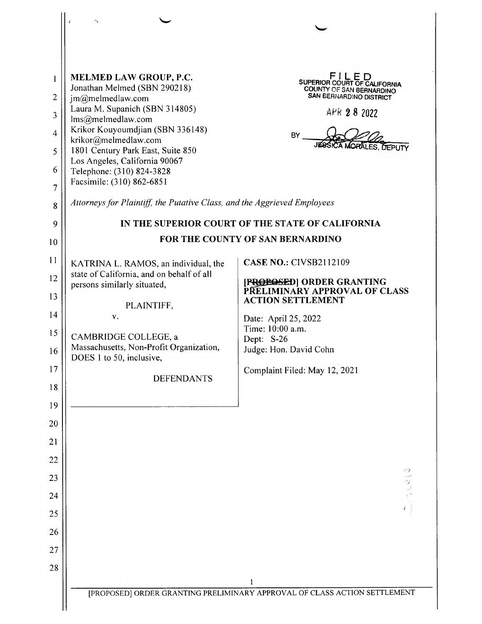|                | $\tilde{\epsilon}$                                                       |                                                                                           |
|----------------|--------------------------------------------------------------------------|-------------------------------------------------------------------------------------------|
|                |                                                                          |                                                                                           |
| $\mathbf{1}$   | MELMED LAW GROUP, P.C.<br>Jonathan Melmed (SBN 290218)                   | FILED<br>SUPERIOR COURT OF CALIFORNIA                                                     |
| $\overline{2}$ | jm@melmedlaw.com                                                         | <b>COUNTY OF SAN BERNARDINO</b><br><b>SAN BERNARDINO DISTRICT</b>                         |
| 3              | Laura M. Supanich (SBN 314805)<br>lms@melmedlaw.com                      | APR 2 8 2022                                                                              |
| $\overline{4}$ | Krikor Kouyoumdjian (SBN 336148)<br>krikor@melmedlaw.com                 | <b>BY</b>                                                                                 |
| 5              | 1801 Century Park East, Suite 850                                        | <b>KA MORALES. DEPUTY</b>                                                                 |
| 6              | Los Angeles, California 90067<br>Telephone: (310) 824-3828               |                                                                                           |
| $\overline{7}$ | Facsimile: (310) 862-6851                                                |                                                                                           |
| 8              | Attorneys for Plaintiff, the Putative Class, and the Aggrieved Employees |                                                                                           |
| 9              |                                                                          | IN THE SUPERIOR COURT OF THE STATE OF CALIFORNIA                                          |
| 10             |                                                                          | FOR THE COUNTY OF SAN BERNARDINO                                                          |
| 11             | KATRINA L. RAMOS, an individual, the                                     | <b>CASE NO.: CIVSB2112109</b>                                                             |
| 12             | state of California, and on behalf of all<br>persons similarly situated, | [PROPOSED] ORDER GRANTING<br>PRELIMINARY APPROVAL OF CLASS                                |
| 13             | PLAINTIFF,                                                               | <b>ACTION SETTLEMENT</b>                                                                  |
| 14             | V.                                                                       | Date: April 25, 2022                                                                      |
| 15             | CAMBRIDGE COLLEGE, a                                                     | Time: 10:00 a.m.<br>Dept: S-26                                                            |
| 16             | Massachusetts, Non-Profit Organization,<br>DOES 1 to 50, inclusive,      | Judge: Hon. David Cohn                                                                    |
| 17             | <b>DEFENDANTS</b>                                                        | Complaint Filed: May 12, 2021                                                             |
| 18             |                                                                          |                                                                                           |
| 19             |                                                                          |                                                                                           |
| 20             |                                                                          |                                                                                           |
| 21             |                                                                          |                                                                                           |
| 22             |                                                                          |                                                                                           |
| 23             |                                                                          |                                                                                           |
| 24             |                                                                          |                                                                                           |
| 25             |                                                                          |                                                                                           |
| 26             |                                                                          |                                                                                           |
| 27             |                                                                          |                                                                                           |
| 28             |                                                                          |                                                                                           |
|                |                                                                          | $\mathbf{l}$<br>[PROPOSED] ORDER GRANTING PRELIMINARY APPROVAL OF CLASS ACTION SETTLEMENT |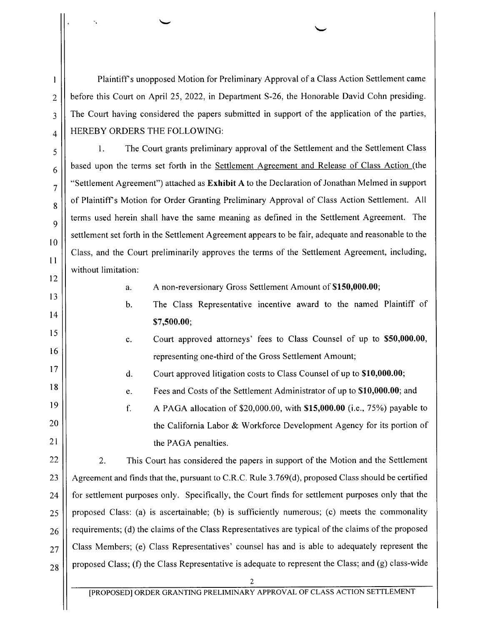Plaintiff's unopposed Motion for Preliminary Approval ofa Class Action Settlement came before this Court on April 25, 2022, in Department 8-26, the Honorable David Cohn presiding. The Court having considered the papers submitted in support of the application of the parties, HEREBY ORDERS THE FOLLOWING:

1. The Court grants preliminary approval of the Settlement and the Settlement Class based upon the terms set forth in the Settlement Agreement and Release of Class Action (the "Settlement Agreement") attached as **Exhibit A** to the Declaration of Jonathan Melmed in support of Plaintiff's Motion for Order Granting Preliminary Approval of Class Action Settlement. All terms used herein shall have the same meaning as defined in the Settlement Agreement. The settlement set forth in the Settlement Agreement appears to be fair, adequate and reasonable to the Class, and the Court preliminarily approves the terms of the Settlement Agreement, including, without limitation:

a. A non-reversionary Gross Settlement Amount of \$150,000.00;

- b. The Class Representative incentive award to the named Plaintiff 0f \$7,500.00;
- c. Court approved attorneys" fees to Class Counsel of up to \$50,000.00, representing one-third of the Gross Settlement Amount;

d. Court approved litigation costs to Class Counsel of up t0 \$10,000.00;

e. Fees and Costs of the Settlement Administrator of up to \$10,000.00; and

f. A PAGA allocation of  $$20,000.00$ , with  $$15,000.00$  (i.e., 75%) payable to the California Labor & Workforce Development Agency for its portion of the PAGA penalties.

2. This Court has considered the papers in support of the Motion and the Settlement Agreement and finds that the, pursuant to C.R.C. Rule  $3.769(d)$ , proposed Class should be certified for settlement purposes only. Specifically, the Court finds for settlement purposes only that the proposed Class: (a) is ascertainable; (b) is sufficiently numerous; (c) meets the commonality requirements; (d) the claims of the Class Representatives are typical of the claims of the proposed Class Members; (e) Class Representatives' counsel has and is able to adequately represent the proposed Class; (f) the Class Representative is adequate to represent the Class; and (g) class-wide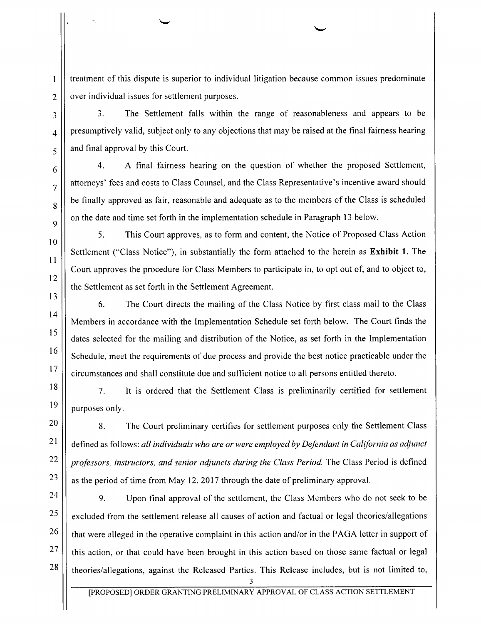treatment of this dispute is superior to individual litigation because common issues predominate over individual issues for settlement purposes.

3. The Settlement falls within the range of reasonableness and appears t0 be presumptively valid, subject only to any objections that may be raised at the final fairness hearing and final approval by this Court.

4. final fairness hearing 0n the question of whether the proposed Settlement, attorneys' fees and costs to Class Counsel, and the Class Representative's incentive award should be finally approved as fair, reasonable and adequate as to the members 0f the Class is scheduled on the date and time set forth in the implementation schedule in Paragraph 13 below.

5. This Court approves, as to form and content, the Notice of Proposed Class Action Settlement ("Class Notice"), in substantially the form attached to the herein as Exhibit 1. The Court approves the procedure for Class Members to participate in, to opt out of, and to object to, the Settlement as set forth in the Settlement Agreement.

6. The Court directs the mailing of the Class Notice by first class mail to the Class Members in accordance with the Implementation Schedule set forth below. The Court finds the dates selected for the mailing and distribution 0f the Notice, as set forth in the Implementation Schedule, meet the requirements of due process and provide the best notice practicable under the circumstances and shall constitute due and sufficient notice to all persons entitled thereto.

7. It is ordered that the Settlement Class is preliminarily certified for settlement purposes only.

8. The Court preliminary certifies for settlement purposes only the Settlement Class defined as follows: all individuals who are or were employed by Defendant in California as adjunct professors, inslructors, and senior adjuncts during the Class Period. The Class Period is defined as the period of time from May 12, 2017 through the date of preliminary approval.

9. Upon final approval of the settlement, the Class Members who do not seek to be excluded from the settlement release all causes of action and factual or legal theories/allegations that were alleged in the operative complaint in this action and/or in the PAGA letter in support of this action, or that could have been brought in this action based 0n those same factual or legal theories/allegations, against the Released Parties. This Release includes, but is not limited to,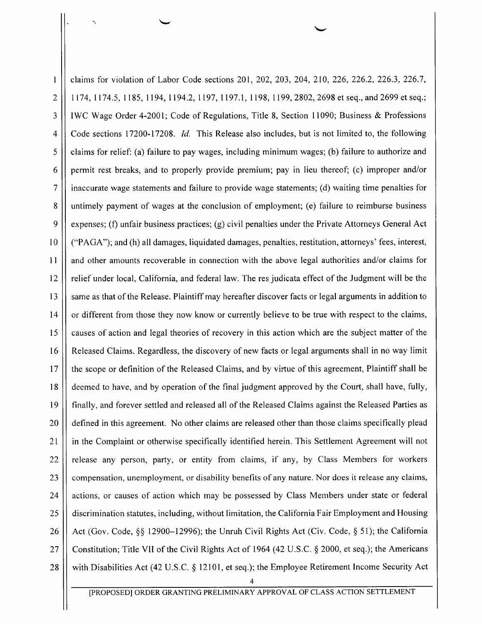claims for violation of Labor Code sections 201, 202, 203, 204, 210, 226, 226.2, 226.3, 226.7, H74, ll74.5, 1185, 1194, 1194.2, 1197, 1197.1, 1198, 1199, 2802, 2698 et seq., and 2699 et seq.; IWC Wage Order 4-2001; Code of Regulations, Title 8, Section 11090; Business & Professions Code sections 17200-17208. Id. This Release also includes, but is not limited to, the following claims for relief: (a) failure to pay wages, including minimum wages; (b) failure to authorize and permit rest breaks, and to properly provide premium; pay in lieu thereof; (c) improper and/or inaccurate wage statements and failure to provide wage statements; (d) waiting time penalties for untimely payment 0f wages at the conclusion of employment; (e) failure to reimburse business expenses; (f) unfair business practices; (g) civil penalties under the Private Attorneys General Act [ ("PAGA"); and (h) all damages, liquidated damages, penalties, restitution, attorneys' fees, interest, and other amounts recoverable in connection with the above legal authorities and/or claims for relief under local, California, and federal law. The res judicata effect of the Judgment will be the same as that of the Release. Plaintiff may hereafter discover facts or legal arguments in addition to or different from those they now know or currently believe to be true with respect to the claims, causes of action and legal theories of recovery in this action which are the subject matter 0f the Released Claims. Regardless, the discovery of new facts or legal arguments shall in no way limit the scope or definition of the Released Claims, and by Virtue of this agreement, Plaintiff shall be deemed to have, and by operation of the final judgment approved by the Court, shall have, fully, finally, and forever settled and released all of the Released Claims against the Released Parties as defined in this agreement. No other claims are released other than those claims specifically plead in the Complaint 0r otherwise specifically identified herein. This Settlement Agreement will not release any person, party, or entity from claims, if any, by Class Members for workers compensation, unemployment, 0r disability benefits of any nature. Nor does it release any claims, actions, or causes of action which may be possessed by Class Members under state or federal discrimination statutes, including, without limitation, the California Fair Employment and Housing Act (Gov. Code,  $\S$ § 12900–12996); the Unruh Civil Rights Act (Civ. Code,  $\S$  51); the California Constitution; Title VII of the Civil Rights Act of 1964 (42 U.S.C.  $\S$  2000, et seq.); the Americans with Disabilities Act (42 U.S.C. § 12101, et seq.); the Employee Retirement Income Security Act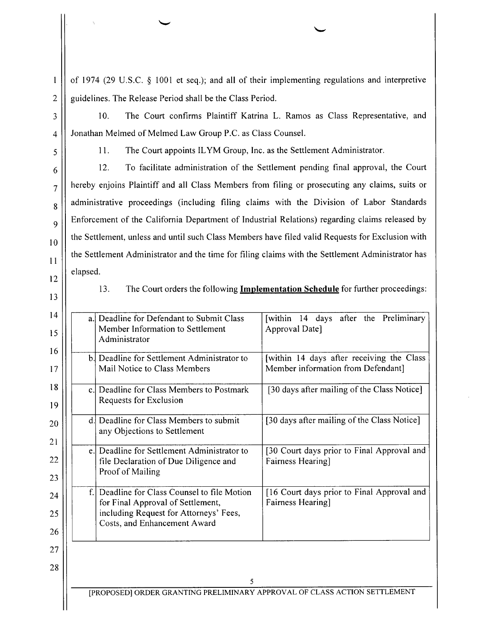of 1974 (29 U.S.C.  $\S$  1001 et seq.); and all of their implementing regulations and interpretive guidelines. The Release Period shall be the Class Period.

10. The Court confirms Plaintiff Katrina L. Ramos as Class Representative, and Jonathan Melmed of Melmed Law Group P.C. as Class Counsel.

 $\mathbf{l}$ 

 $\overline{2}$ 

 $\overline{\mathbf{3}}$ 

 $\overline{4}$ 

5

6

 $\overline{7}$ 

8

 $\overline{Q}$ 

1. The Court appoints ILYM Group, Inc. as the Settlement Administrator.

12. To facilitate administration 0f the Settlement pending final approval, the Court hereby enjoins Plaintiff and all Class Members from filing or prosecuting any claims, suits or administrative proceedings (including filing claims with the Division of Labor Standards Enforcement of the California Department of Industrial Relations) regarding claims released by the Settlement, unless and until such Class Members have filed valid Requests for Exclusion with the Settlement Administrator and the time for filing claims with the Settlement Administrator has elapsed.



10

11

12

13

13. The Court orders the following Implementation Schedule for further proceedings:

| a. Deadline for Defendant to Submit Class<br>Member Information to Settlement<br>Administrator                                                           | [within 14 days after the Preliminary<br>Approval Date]                         |
|----------------------------------------------------------------------------------------------------------------------------------------------------------|---------------------------------------------------------------------------------|
| b. Deadline for Settlement Administrator to<br>Mail Notice to Class Members                                                                              | [within 14 days after receiving the Class<br>Member information from Defendant] |
| c. Deadline for Class Members to Postmark<br>Requests for Exclusion                                                                                      | [30 days after mailing of the Class Notice]                                     |
| d. Deadline for Class Members to submit<br>any Objections to Settlement                                                                                  | [30 days after mailing of the Class Notice]                                     |
| e. Deadline for Settlement Administrator to<br>file Declaration of Due Diligence and<br>Proof of Mailing                                                 | [30 Court days prior to Final Approval and<br>Fairness Hearing]                 |
| Deadline for Class Counsel to file Motion<br>for Final Approval of Settlement,<br>including Request for Attorneys' Fees,<br>Costs, and Enhancement Award | [16 Court days prior to Final Approval and<br>Fairness Hearing]                 |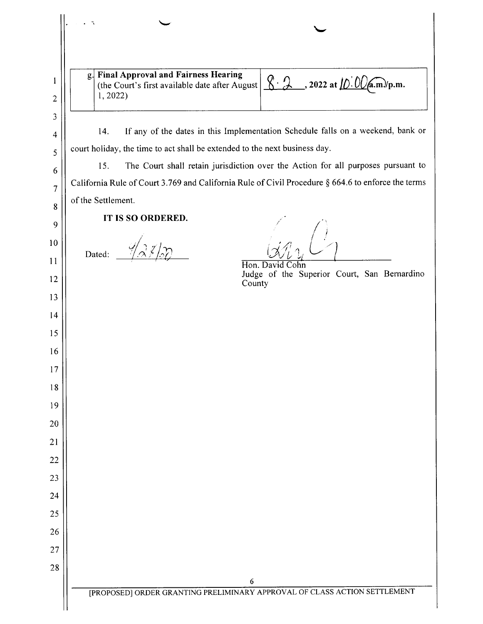| g. Final Approval and Fairness Hearing<br>(the Court's first available date after August<br>1, 2022 | $\sqrt{2}$ , 2022 at $\sqrt{D}$ . $\sqrt{Q}$ (a.m.)/p.m.                         |
|-----------------------------------------------------------------------------------------------------|----------------------------------------------------------------------------------|
| 14.                                                                                                 | If any of the dates in this Implementation Schedule falls on a weekend, bank or  |
| court holiday, the time to act shall be extended to the next business day.                          |                                                                                  |
| 15.                                                                                                 | The Court shall retain jurisdiction over the Action for all purposes pursuant to |
| California Rule of Court 3.769 and California Rule of Civil Procedure § 664.6 to enforce the terms  |                                                                                  |
| of the Settlement.                                                                                  |                                                                                  |
| IT IS SO ORDERED.<br>Dated:                                                                         | Hon. David Cohn<br>Judge of the Superior Court, San Bernardino<br>County         |
|                                                                                                     |                                                                                  |
|                                                                                                     |                                                                                  |
|                                                                                                     |                                                                                  |
|                                                                                                     |                                                                                  |
|                                                                                                     |                                                                                  |
|                                                                                                     |                                                                                  |
|                                                                                                     |                                                                                  |
|                                                                                                     |                                                                                  |
|                                                                                                     |                                                                                  |
|                                                                                                     |                                                                                  |
|                                                                                                     |                                                                                  |
|                                                                                                     | $\boldsymbol{6}$                                                                 |
|                                                                                                     | [PROPOSED] ORDER GRANTING PRELIMINARY APPROVAL OF CLASS ACTION SETTLEMENT        |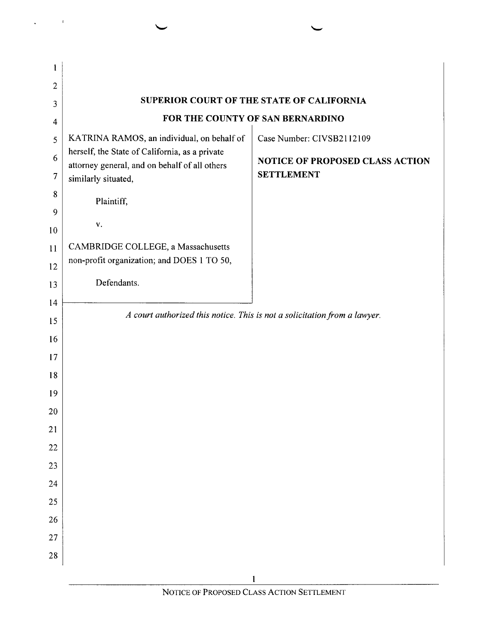| $\overline{2}$ |                                                                                                 |                                           |  |
|----------------|-------------------------------------------------------------------------------------------------|-------------------------------------------|--|
| 3              |                                                                                                 | SUPERIOR COURT OF THE STATE OF CALIFORNIA |  |
| $\overline{4}$ |                                                                                                 | FOR THE COUNTY OF SAN BERNARDINO          |  |
| 5              | KATRINA RAMOS, an individual, on behalf of                                                      | Case Number: CIVSB2112109                 |  |
| 6              | herself, the State of California, as a private<br>attorney general, and on behalf of all others | <b>NOTICE OF PROPOSED CLASS ACTION</b>    |  |
| $\overline{7}$ | similarly situated,                                                                             | <b>SETTLEMENT</b>                         |  |
| 8              | Plaintiff,                                                                                      |                                           |  |
| 9              |                                                                                                 |                                           |  |
| 10             | V.                                                                                              |                                           |  |
| 11             | CAMBRIDGE COLLEGE, a Massachusetts                                                              |                                           |  |
| 12             | non-profit organization; and DOES 1 TO 50,                                                      |                                           |  |
| 13             | Defendants.                                                                                     |                                           |  |
| 14             |                                                                                                 |                                           |  |
| 15             | A court authorized this notice. This is not a solicitation from a lawyer.                       |                                           |  |
| 16             |                                                                                                 |                                           |  |
| 17             |                                                                                                 |                                           |  |
| 18             |                                                                                                 |                                           |  |
| 19             |                                                                                                 |                                           |  |
| 20             |                                                                                                 |                                           |  |
| 21             |                                                                                                 |                                           |  |
| 22             |                                                                                                 |                                           |  |
| 23             |                                                                                                 |                                           |  |
| 24             |                                                                                                 |                                           |  |
| 25             |                                                                                                 |                                           |  |
| 26             |                                                                                                 |                                           |  |
| 27             |                                                                                                 |                                           |  |
| ${\bf 28}$     |                                                                                                 |                                           |  |
|                |                                                                                                 |                                           |  |

 $\tilde{\tau}$ 

 $\ddot{\phantom{1}}$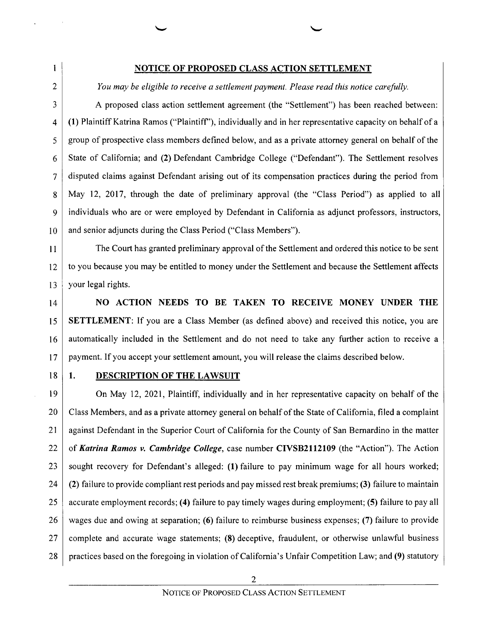#### NOTICE OF PROPOSED CLASS ACTION SETTLEMENT

You may be eligible to receive a settlement payment. Please read this notice carefully.

proposed class action settlement agreement (the "Settlement") has been reached between: (1) Plaintiff Katrina Ramos ("Plaintiff"), individually and in her representative capacity on behalf of group 0f prospective class members defined below, and as private attorney general on behalf of the State of California; and (2) Defendant Cambridge College ("Defendant"). The Settlement resolves disputed claims against Defendant arising out of its compensation practices during the period from May 12, 2017, through the date of preliminary approval (the "Class Period") as applied to all individuals who are or were employed by Defendant in California as adjunct professors, instructors, and senior adjuncts during the Class Period ("Class Members").

The Court has granted preliminary approval of the Settlement and ordered this notice t0 be sent to you because you may be entitled to money under the Settlement and because the Settlement affects your legal rights.

14 15 l6 l7 NO ACTION NEEDS TO BE TAKEN TO RECEIVE MONEY UNDER THE **SETTLEMENT:** If you are a Class Member (as defined above) and received this notice, you are automatically included in the Settlement and do not need to take any further action to receive payment. If you accept your settlement amount, you will release the claims described below.

 $18$  1.

10

 $\mathbf{I}$ 

 $\overline{2}$ 

3

 $\overline{4}$ 

5

6

 $\overline{7}$ 

 $\overline{8}$ 

9

11

12

13

#### DESCRIPTION OF THE LAWSUIT

19 20 21 22 23 24 25 26 27 28 On May 12, 2021, Plaintiff, individually and in her representative capacity on behalf of the Class Members, and as a private attorney general on behalf of the State of California, filed a complaint against Defendant in the Superior Court of California for the County of San Bernardino in the matter of Katrina Ramos v. Cambridge College, case number CIVSB2112109 (the "Action"). The Action sought recovery for Defendant's alleged: (1) failure to pay minimum wage for all hours worked; (2) failure to provide compliant rest periods and pay missed rest break premiums; (3) failure to maintain accurate employment records; (4) failure to pay timely wages during employment; (5) failure to pay all wages due and owing at separation; (6) failure to reimburse business expenses; (7) failure to provide complete and accurate Wage statements; (8) deceptive, fraudulent, or otherwise unlawful business practices based on the foregoing in violation of California's Unfair Competition Law; and (9) statutory

 $\overline{2}$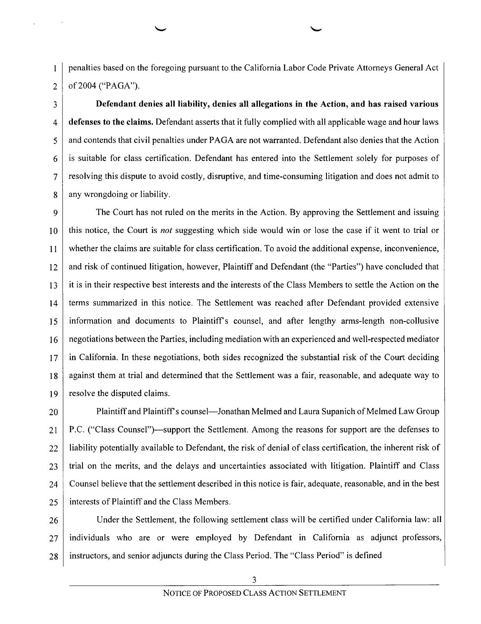penalties based on the foregoing pursuant to the California Labor Code Private Attorneys General Act of 2004 ("PAGA").

 $\mathbf{1}$ 

 $\overline{2}$ 

 $\overline{3}$ 

 $\overline{4}$ 

5

6

7

 $\mathbf{8}$ 

Defendant denies all liability, denies all allegations in the Action, and has raised various defenses to the claims. Defendant asserts that it fully complied with all applicable wage and hour laws and contends that civil penalties under PAGA are not warranted. Defendant also denies that the Action is suitable for class certification. Defendant has entered into the Settlement solely for purposes of resolving this dispute to avoid costly, disruptive, and time-consuming litigation and does not admit to any wrongdoing or liability.

9 The Court has not ruled on the merits in the Action. By approving the Settlement and issuing this notice, the Court is not suggesting which side would win or lose the case if it went to trial or 10 whether the claims are suitable for class certification. To avoid the additional expense, inconvenience, 11 and risk of continued litigation, however, Plaintiff and Defendant (the "Parties") have concluded that 12 it is in their respective best interests and the interests of the Class Members to settle the Action 0n the 13 terms summarized in this notice. The Settlement was reached after Defendant provided extensive 14 information and documents to Plaintiff's counsel, and after lengthy arms-length non-collusive 15 16 negotiations between the Parties, including mediation with an experienced and well-respected mediator in California. In these negotiations, both sides recognized the substantial risk 0f the Court deciding 17 against them at trial and determined that the Settlement was a fair, reasonable, and adequate way to 18 19 resolve the disputed claims.

20 21 22 23 24 25 Plaintiff and Plaintiff's counsel—Jonathan Melmed and Laura Supanich of Melmed Law Group P.C. ("Class C0unsel")—support the Settlement. Among the reasons for support are the defenses to liability potentially available to Defendant, the risk of denial of class certification, the inherent risk of trial on the merits, and the delays and uncertainties associated with litigation. Plaintiff and Class Counsel believe that the settlement described in this notice is fair, adequate, reasonable, and in the best interests of Plaintiff and the Class Members.

26 27 28 Under the Settlement, the following settlement class will be certified under California law: all individuals who are or were employed by Defendant in California as adjunct professors, instructors, and senior adjuncts during the Class Period. The "Class Period" is defined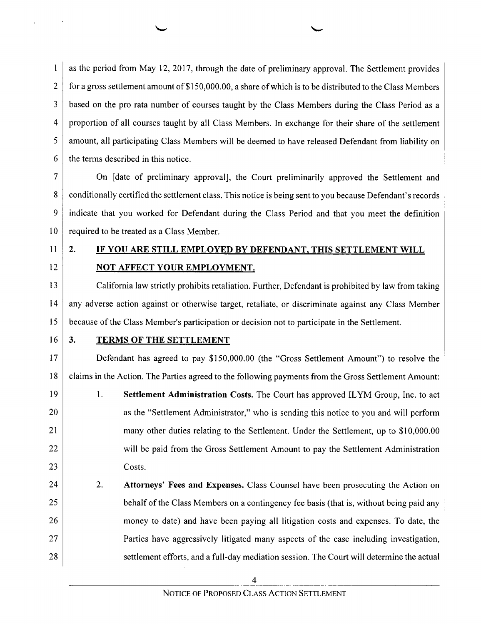$\mathbf{1}$ as the period from May 12, 2017, through the date 0f preliminary approval. The Settlement provides  $\overline{2}$ for a gross settlement amount of \$150,000.00, a share of which is to be distributed to the Class Members 3 based on the pro rata number of courses taught by the Class Members during the Class Period as a 4 proportion of all courses taught by all Class Members. In exchange for their share of the settlement 5 amount, all participating Class Members will be deemed to have released Defendant from liability on the terms described in this notice. 6

 $\overline{7}$ On [date of preliminary approval], the Court preliminarily approved the Settlement and 8 conditionally certified the settlement class. This notice is being sent to you because Defendant's records indicate that you worked for Defendant during the Class Period and that you meet the definition 10 required to be treated as a Class Member.

11

9

12

2. IF YOU ARE STILL EMPLOYED BY DEFENDANT, THIS SETTLEMENT WILL NOT AFFECT YOUR EMPLOYMENT.

13 14 15 California law strictly prohibits retaliation. Further, Defendant is prohibited by law from taking any adverse action against or otherwise target, retaliate, or discriminate against any Class Member because of the Class Member's participation or decision not to participate in the Settlement.

 $16 \mid 3.$ 

17

18

21

22

23

# **TERMS OF THE SETTLEMENT**

Defendant has agreed to pay \$150,000.00 (the "Gross Settlement Amount") to resolve the claims in the Action. The Parties agreed to the following payments from the Gross Settlement Amount:

19 20 1. Settlement Administration Costs. The Court has approved ILYM Group, Inc. to act as the "Settlement Administrator," who is sending this notice to you and will perform many other duties relating to the Settlement. Under the Settlement, up to \$10,000.00 will be paid from the Gross Settlement Amount to pay the Settlement Administration Costs.

24 25 26 27 28 2. Attorneys' Fees and Expenses. Class Counsel have been prosecuting the Action on behalf of the Class Members on a contingency fee basis (that is, without being paid any money t0 date) and have been paying all litigation costs and expenses. To date, the Parties have aggressively litigated many aspects of the case including investigation, settlement efforts, and a full-day mediation session. The Court will determine the actual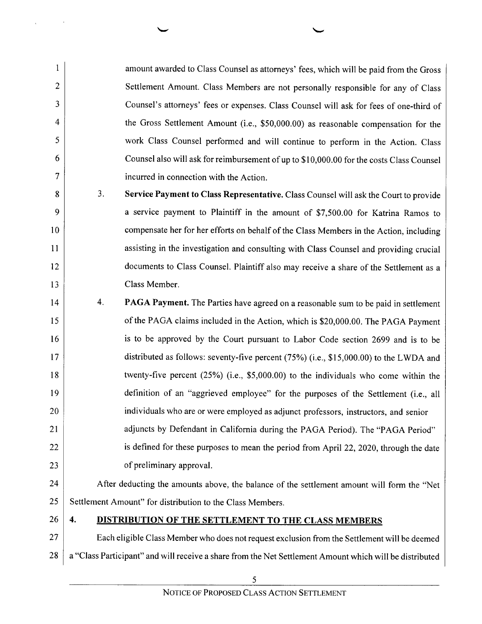amount awarded to Class Counsel as attorneys' fees, which will be paid from the Gross Settlement Amount. Class Members are not personally responsible for any of Class Counsel's attorneys' fees or expenses. Class Counsel will ask for fees 0f one-third 0f the Gross Settlement Amount (i.e., \$50,000.00) as reasonable compensation for the work Class Counsel performed and will continue to perform in the Action. Class Counsel also will ask for reimbursement of up to \$10,000.00 for the costs Class Counsel incurred in connection with the Action.

 $3<sub>1</sub>$ Service Payment to Class Representative. Class Counsel will ask the Court to provide a service payment to Plaintiff in the amount of \$7,500.00 for Katrina Ramos to compensate her for her efforts on behalf of the Class Members in the Action, including assisting in the investigation and consulting with Class Counsel and providing crucial documents to Class Counsel. Plaintiff also may receive a share of the Settlement as a Class Member.

 $\overline{4}$ . 14 **PAGA Payment.** The Parties have agreed on a reasonable sum to be paid in settlement 15 of the PAGA claims included in the Action, which is \$20,000.00. The PAGA Payment 16 is to be approved by the Court pursuant to Labor Code section 2699 and is to be 17 distributed as follows: seventy-five percent (75%) (i.e., \$15,000.00) to the LWDA and 18 twenty-five percent (25%) (i.e., \$5,000.00) to the individuals who come within the 19 definition 0f an "aggrieved employee" for the purposes of the Settlement (i.e., all 20 individuals who are or were employed as adjunct professors, instructors, and senior adjuncts by Defendant in California during the PAGA Period). The "PAGA Period" 21 22 is defined for these purposes to mean the period from April 22, 2020, through the date 23 of preliminary approval.

#### 24 25 After deducting the amounts above, the balance of the settlement amount will form the "Net Settlement Amount" for distribution to the Class Members.

 $26 \mid 4.$ 

10

 $\mathbf{1}$ 

 $\overline{2}$ 

3

 $\overline{4}$ 

5

6

 $\overline{7}$ 

8

 $\mathbf Q$ 

11

12

13

### DISTRIBUTION OF THE SETTLEMENT TO THE CLASS MEMBERS

27 28 Each eligible Class Member who does not request exclusion from the Settlement will be deemed a "Class Participant" and will receive a share from the Net Settlement Amount which will be distributed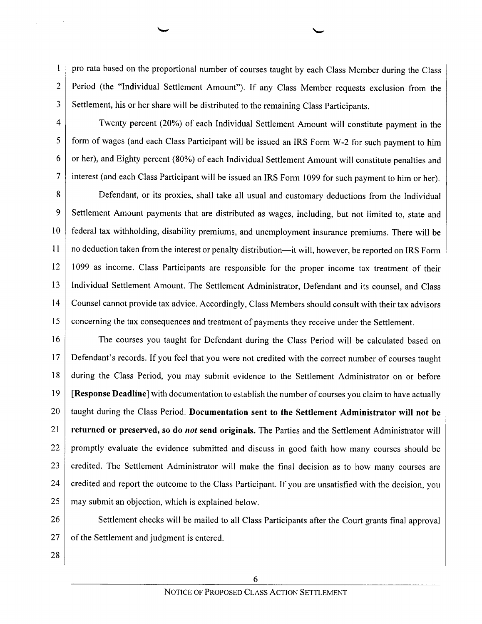$\mathbf{1}$ pro rata based on the proportional number of courses taught by each Class Member during the Class Period (the "Individual Settlement Amount"). If any Class Member requests exclusion from the  $\overline{2}$ 3 Settlement, his or her share will be distributed to the remaining Class Participants.

 $\overline{4}$ 5

6

7

Twenty percent (20%) of each Individual Settlement Amount will constitute payment in the form of wages (and each Class Participant will be issued an IRS Form W-2 for such payment to him or her), and Eighty percent (80%) 0f each Individual Settlement Amount will constitute penalties and interest (and each Class Participant will be issued an IRS Form 1099 for such payment to him or her).

8 Defendant, or its proxies, shall take all usual and customary deductions from the Individual 9 Settlement Amount payments that are distributed as wages, including, but not limited to, state and 10 federal tax withholding, disability premiums, and unemployment insurance premiums. There will be 11 n0 deduction taken from the interest or penalty distribution—it will, however, be reported on IRS Form 12 1099 as income. Class Participants are responsible for the proper income tax treatment of their 13 Individual Settlement Amount. The Settlement Administrator, Defendant and its counsel, and Class 14 Counsel cannot provide tax advice. Accordingly, Class Members should consult with their tax advisors 15 concerning the tax consequences and treatment of payments they receive under the Settlement.

16 17 18 19 20 21 22 23 24 25 The courses you taught for Defendant during the Class Period will be calculated based on Defendant's records. If you feel that you were not credited with the correct number of courses taught during the Class Period, you may submit evidence to the Settlement Administrator 0n 0r before [Response Deadline] with documentation to establish the number of courses you claim to have actually taught during the Class Period. Documentation sent to the Settlement Administrator will not be returned or preserved, so do not send originals. The Parties and the Settlement Administrator will promptly evaluate the evidence submitted and discuss in good faith how many courses should be credited. The Settlement Administrator will make the final decision as to how many courses are credited and report the outcome to the Class Participant. If you are unsatisfied with the decision, you may submit an objection, which is explained below.

26 27 Settlement checks will be mailed to all Class Participants after the Court grants final approval of the Settlement and judgment is entered.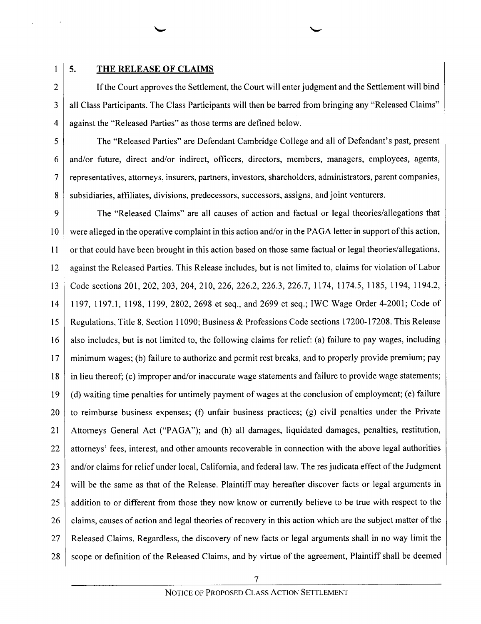$\mathbf{1}$  $\overline{2}$ 

3

 $\overline{4}$ 

5

6

 $\overline{7}$ 

8

#### 5. THE RELEASE OF CLAIMS

If the Court approves the Settlement, the Court will enter judgment and the Settlement will bind all Class Participants. The Class Participants will then be barred from bringing any "Released Claims" against the "Released Parties" as those terms are defined below.

The "Released Parties" are Defendant Cambridge College and all of Defendant's past, present and/or future, direct and/or indirect, officers, directors, members, managers, employees, agents, representatives, attorneys, insurers, partners, investors, shareholders, administrators, parent companies, subsidiaries, affiliates, divisions, predecessors, successors, assigns, and joint venturers.

 $\overline{Q}$ The "Released Claims" are all causes of action and factual or legal theories/allegations that 10 were alleged in the operative complaint in this action and/or in the PAGA letter in support ofthis action, 11 or that could have been brought in this action based on those same factual or legal theories/allegations, 12 against the Released Parties. This Release includes, but is not limited to, claims for violation of Labor 13 Code sections 201, 202, 203, 204, 210, 226, 226.2, 226.3, 226.7, 1174, 1174.5, 1185, 1194, 1194.2, 14 1197, 1197.1, 1198, 1199, 2802, 2698 et seq., and 2699 et seq.; IWC Wage Order 4-2001; Code 0f 15 Regulations, Title 8, Section 11090; Business & Professions Code sections 17200-17208. This Release 16 also includes, but is not limited to, the following claims for relief: (a) failure to pay wages, including 17 minimum wages; (b) failure to authorize and permit rest breaks, and to properly provide premium; pay 18 in lieu thereof; (c) improper and/or inaccurate wage statements and failure to provide wage statements; 19 (d) waiting time penalties for untimely payment of wages at the conclusion of employment; (e) failure 20 to reimburse business expenses; (f) unfair business practices; (g) civil penalties under the Private 21 Attorneys General Act ("PAGA"); and (h) all damages, liquidated damages, penalties, restitution, attorneys' fees, interest, and other amounts recoverable in connection with the above legal authorities 22 23 and/or claims for relief under local, California, and federal law. The res judicata effect of the Judgment 24 will be the same as that of the Release. Plaintiff may hereafter discover facts or legal arguments in addition to or different from those they now know or currently believe to be true with respect to the 25 26 claims, causes of action and legal theories of recovery in this action which are the subject matter of the 27 Released Claims. Regardless, the discovery of new facts or legal arguments shall in no way limit the 28 scope or definition of the Released Claims, and by virtue of the agreement, Plaintiff shall be deemed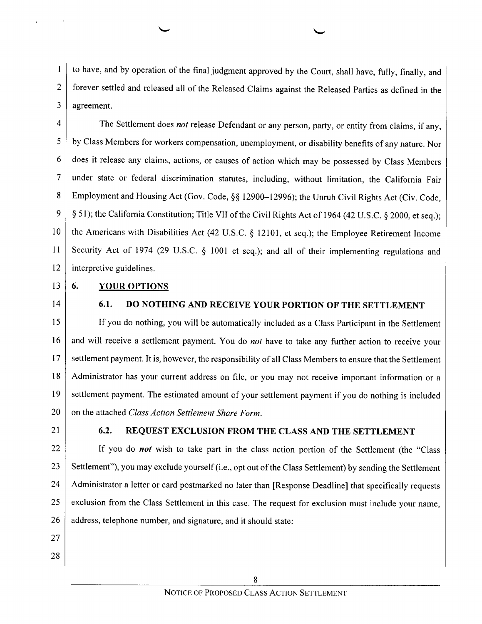to have, and by operation of the final judgment approved by the Court, shall have, fully, finally, and  $\mathbf{1}$ forever settled and released all of the Released Claims against the Released Parties as defined in the  $\overline{2}$ 3 agreement.

 $\overline{4}$ The Settlement does not release Defendant or any person, party, or entity from claims, if any, 5 by Class Members for workers compensation, unemployment, or disability benefits 0f any nature. Nor 6 does it release any claims, actions, 0r causes of action which may be possessed by Class Members  $\overline{7}$ under state or federal discrimination statutes, including, without limitation, the California Fair Employment and Housing Act (Gov. Code, §§ 12900—12996); the Unruh Civil Rights Act (Civ. Code, 8 9 § 51); the California Constitution; Title VII of the Civil Rights Act of 1964 (42 U.S.C. § 2000, et seq.); 10 the Americans with Disabilities Act (42 U.S.C.  $\S$  12101, et seq.); the Employee Retirement Income 11 Security Act of 1974 (29 U.S.C.  $\S$  1001 et seq.); and all of their implementing regulations and 12 interpretive guidelines.

 $13 \mid 6.$ 

#### YOUR OPTIONS

14

# 6.1. DO NOTHING AND RECEIVE YOUR PORTION OF THE SETTLEMENT

15 16 17 18 19 20 If you do nothing, you will be automatically included as a Class Participant in the Settlement and will receive a settlement payment. You do not have to take any further action to receive your settlement payment. It is, however, the responsibility of all Class Members to ensure that the Settlement Administrator has your current address on file, or you may not receive important information or a settlement payment. The estimated amount of your settlement payment if you do nothing is included on the attached Class Action Settlement Share Form.

21

# 6.2. REQUEST EXCLUSION FROM THE CLASS AND THE SETTLEMENT

22 23 24 25 26 If you do *not* wish to take part in the class action portion of the Settlement (the "Class Settlement"), you may exclude yourself (i.e., opt out of the Class Settlement) by sending the Settlement Administrator a letter or card postmarked no later than [Response Deadline] that specifically requests exclusion from the Class Settlement in this case. The request for exclusion must include your name, address, telephone number, and signature, and it should state:

- 27
- 28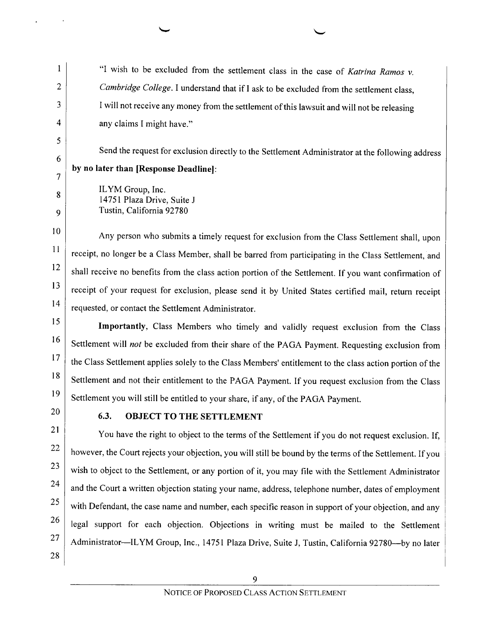"I wish to be excluded from the settlement class in the case of Katrina Ramos  $v$ . Cambridge College. I understand that if I ask to be excluded from the settlement class, I will not receive any money from the settlement of this lawsuit and will not be releasing any claims I might have."

Send the request for exclusion directly to the Settlement Administrator at the following address by no later than [Response Deadline]:

ILYM Group, Inc. 14751 Plaza Drive, Suite Tustin, California 92780

10 ll 12 13 14 Any person who submits a timely request for exclusion from the Class Settlement shall, upon receipt, no longer be a Class Member, shall be barred from participating in the Class Settlement, and shall receive no benefits from the class action portion of the Settlement. If you want confirmation of receipt of your request for exclusion, please send it by United States certified mail, return receipt requested, or contact the Settlement Administrator.

15 l6 17 18 19 Importantly, Class Members who timely and validly request exclusion from the Class Settlement will not be excluded from their share of the PAGA Payment. Requesting exclusion from the Class Settlement applies solely to the Class Members' entitlement to the class action portion of the Settlement and not their entitlement to the PAGA Payment. If you request exclusion from the Class Settlement you will still be entitled to your share, if any, of the PAGA Payment.

20

 $\mathbf{1}$ 

 $\overline{2}$ 

3

 $\overline{\mathcal{L}}$ 

5

6

7

8

 $\overline{Q}$ 

# 6.3. OBJECT TO THE SETTLEMENT

21 22 23 24 25 26 27 28 You have the right to object to the terms of the Settlement if you do not request exclusion. If, however, the Court rejects your objection, you will still be bound by the terms of the Settlement. If you wish to object to the Settlement, or any portion 0f it, you may file with the Settlement Administrator and the Court a written objection stating your name, address, telephone number, dates of employment with Defendant, the case name and number, each specific reason in support of your objection, and any legal support for each objection. Objections in writing must be mailed to the Settlement Administrator—ILYM Group, Inc., 14751 Plaza Drive, Suite J, Tustin, California 92780—by no later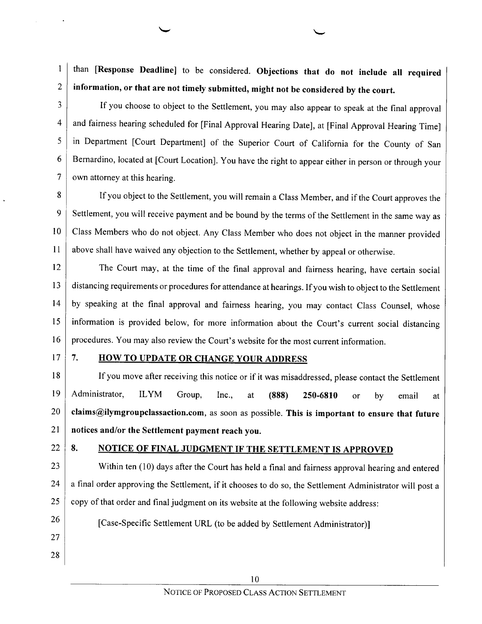than [Response Deadline] to be considered. Objections that do not include all required  $\mathbf{1}$ information, or that are not timely submitted, might not be considered by the court.  $\overline{2}$ 

3

If you choose to object to the Settlement, you may also appear to speak at the final approval and fairness hearing scheduled for [Final Approval Hearing Date], at [Final Approval Hearing Time]  $\overline{4}$ in Department [Court Department] of the Superior Court 0f California for the County of San 5 Bernardino, located at [Court Location]. You have the right to appear either in person or through your 6  $\overline{7}$ own attorney at this hearing.

8 If you object to the Settlement, you will remain a Class Member, and if the Court approves the 9 Settlement, you will receive payment and be bound by the terms 0f the Settlement in the same way as Class Members who d0 not object. Any Class Member who does not object in the manner provided 10 11 above shall have waived any objection to the Settlement, whether by appeal or otherwise.

12 13 14 15 16 The Court may, at the time of the final approval and fairness hearing, have certain social distancing requirements or procedures for attendance at hearings. If you wish to object to the Settlement by speaking at the final approval and fairness hearing, you may contact Class Counsel, whose information is provided below, for more information about the Court's current social distancing procedures. You may also review the Court's website for the most current information.

 $17 \mid 7$ .

#### **HOW TO UPDATE OR CHANGE YOUR ADDRESS**

18 19 | Administrator. 20 21 If you move after receiving this notice or if it was misaddressed, please contact the Settlement Administrator, ILYM Group, Inc., at (888) 250-6810 or by email at claims@ilymgroupclassaction.com, as soon as possible. This is important to ensure that future notices and/or the Settlement payment reach you.

 $22 \mid 8$ .

# 8. NOTICE OF FINAL JUDGMENT IF THE SETTLEMENT IS APPROVED

[Case-Specific Settlement URL (to be added by Settlement Administrator)]

23 24 25 Within ten (10) days after the Court has held a final and fairness approval hearing and entered a final order approving the Settlement, if it chooses to do so, the Settlement Administrator will post a copy of that order and final judgment on its website at the following website address: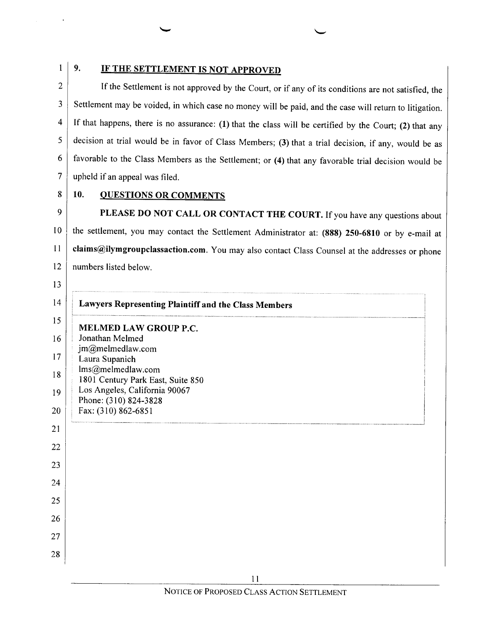$\mathbf{1}$ 

# 9. IF THE SETTLEMENT IS NOT APPROVED

 $\overline{2}$ If the Settlement is not approved by the Court, or if any of its conditions are not satisfied, the Settlement may be voided, in which case no money will be paid, and the case will return to litigation. 3 If that happens, there is no assurance: (1) that the class will be certified by the Court; (2) that any  $\overline{\mathbf{4}}$ decision at trial would be in favor of Class Members; (3) that a trial decision, if any, would be as 5 favorable to the Class Members as the Settlement; or (4) that any favorable trial decision would be 6  $\overline{7}$ upheld if an appeal was filed.

8

# 10. QUESTIONS OR COMMENTS

PLEASE DO NOT CALL OR CONTACT THE COURT. If you have any questions about 9 10 the settlement, you may contact the Settlement Administrator at: (888) 250-6810 or by e-mail at 11 claims@ilymgroupclassaction.com. You may also contact Class Counsel at the addresses or phone 12 numbers listed below.

13 14 15 16 17 18 19 20 21 22 23 24 25 26 27 28 Lawyers Representing Plaintiff and the Class Members MELMED LAW GROUP P.C. Jonathan Melmed jm@melmedlaw.com Laura Supanich lms@melmedlaw.com 1801 Century Park East, Suite 850 Los Angeles, California 90067 Phone: (3 10) 824-3828 Fax: (310) 862-6851